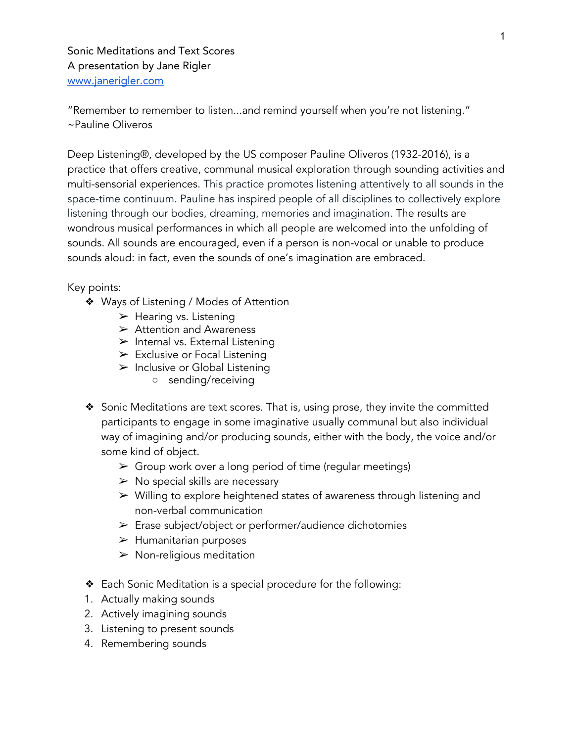Sonic Meditations and Text Scores A presentation by Jane Rigler [www.janerigler.com](http://www.janerigler.com/)

"Remember to remember to listen...and remind yourself when you're not listening." ~Pauline Oliveros

Deep Listening®, developed by the US composer Pauline Oliveros (1932-2016), is a practice that offers creative, communal musical exploration through sounding activities and multi-sensorial experiences. This practice promotes listening attentively to all sounds in the space-time continuum. Pauline has inspired people of all disciplines to collectively explore listening through our bodies, dreaming, memories and imagination. The results are wondrous musical performances in which all people are welcomed into the unfolding of sounds. All sounds are encouraged, even if a person is non-vocal or unable to produce sounds aloud: in fact, even the sounds of one's imagination are embraced.

Key points:

- ❖ Ways of Listening / Modes of Attention
	- $\blacktriangleright$  Hearing vs. Listening
	- $\triangleright$  Attention and Awareness
	- $\triangleright$  Internal vs. External Listening
	- $\triangleright$  Exclusive or Focal Listening
	- $\triangleright$  Inclusive or Global Listening
		- sending/receiving
- ❖ Sonic Meditations are text scores. That is, using prose, they invite the committed participants to engage in some imaginative usually communal but also individual way of imagining and/or producing sounds, either with the body, the voice and/or some kind of object.
	- $\triangleright$  Group work over a long period of time (regular meetings)
	- $\triangleright$  No special skills are necessary
	- ➢ Willing to explore heightened states of awareness through listening and non-verbal communication
	- ➢ Erase subject/object or performer/audience dichotomies
	- $\blacktriangleright$  Humanitarian purposes
	- $\triangleright$  Non-religious meditation
- ❖ Each Sonic Meditation is a special procedure for the following:
- 1. Actually making sounds
- 2. Actively imagining sounds
- 3. Listening to present sounds
- 4. Remembering sounds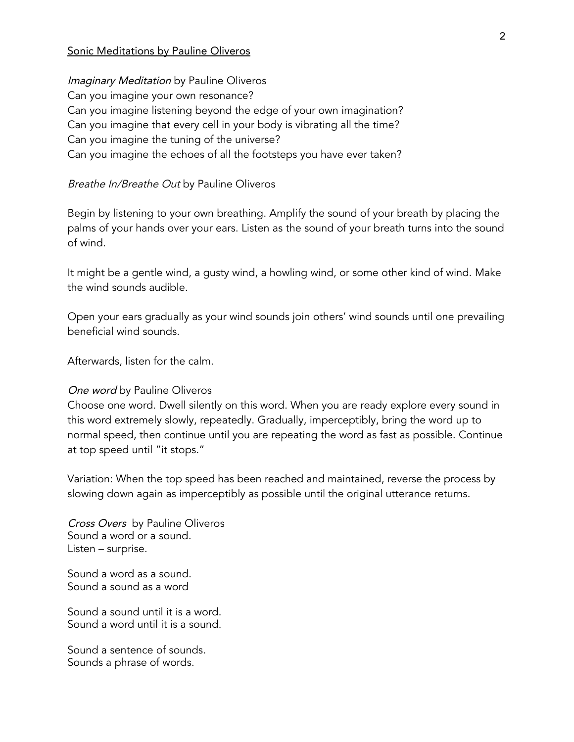#### Sonic Meditations by Pauline Oliveros

**Imaginary Meditation by Pauline Oliveros** Can you imagine your own resonance? Can you imagine listening beyond the edge of your own imagination? Can you imagine that every cell in your body is vibrating all the time? Can you imagine the tuning of the universe? Can you imagine the echoes of all the footsteps you have ever taken?

#### Breathe In/Breathe Out by Pauline Oliveros

Begin by listening to your own breathing. Amplify the sound of your breath by placing the palms of your hands over your ears. Listen as the sound of your breath turns into the sound of wind.

It might be a gentle wind, a gusty wind, a howling wind, or some other kind of wind. Make the wind sounds audible.

Open your ears gradually as your wind sounds join others' wind sounds until one prevailing beneficial wind sounds.

Afterwards, listen for the calm.

#### One word by Pauline Oliveros

Choose one word. Dwell silently on this word. When you are ready explore every sound in this word extremely slowly, repeatedly. Gradually, imperceptibly, bring the word up to normal speed, then continue until you are repeating the word as fast as possible. Continue at top speed until "it stops."

Variation: When the top speed has been reached and maintained, reverse the process by slowing down again as imperceptibly as possible until the original utterance returns.

Cross Overs by Pauline Oliveros Sound a word or a sound. Listen – surprise.

Sound a word as a sound. Sound a sound as a word

Sound a sound until it is a word. Sound a word until it is a sound.

Sound a sentence of sounds. Sounds a phrase of words.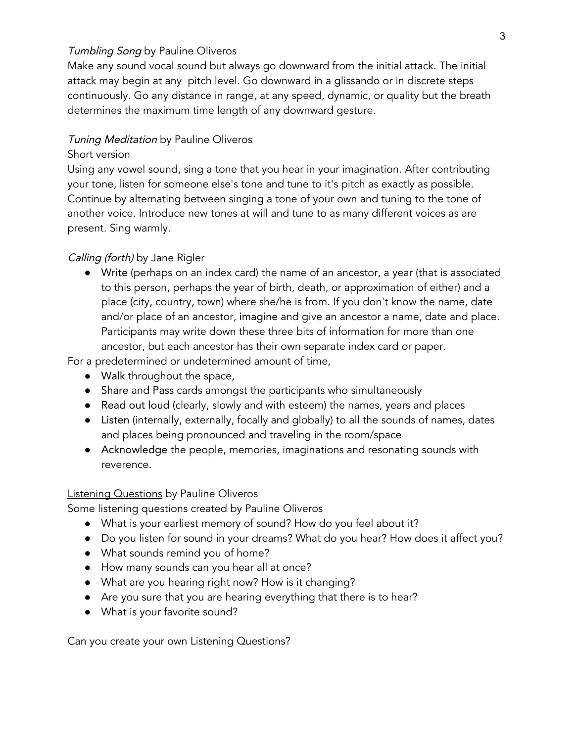## **Tumbling Song by Pauline Oliveros**

Make any sound vocal sound but always go downward from the initial attack. The initial attack may begin at any pitch level. Go downward in a glissando or in discrete steps continuously. Go any distance in range, at any speed, dynamic, or quality but the breath determines the maximum time length of any downward gesture.

#### **Tuning Meditation by Pauline Oliveros**

#### Short version

Using any vowel sound, sing a tone that you hear in your imagination. After contributing your tone, listen for someone else's tone and tune to it's pitch as exactly as possible. Continue by alternating between singing a tone of your own and tuning to the tone of another voice. Introduce new tones at will and tune to as many different voices as are present. Sing warmly.

## Calling (forth) by Jane Rigler

● Write (perhaps on an index card) the name of an ancestor, a year (that is associated to this person, perhaps the year of birth, death, or approximation of either) and a place (city, country, town) where she/he is from. If you don't know the name, date and/or place of an ancestor, imagine and give an ancestor a name, date and place. Participants may write down these three bits of information for more than one ancestor, but each ancestor has their own separate index card or paper.

For a predetermined or undetermined amount of time,

- Walk throughout the space,
- Share and Pass cards amongst the participants who simultaneously
- Read out loud (clearly, slowly and with esteem) the names, years and places
- Listen (internally, externally, focally and globally) to all the sounds of names, dates and places being pronounced and traveling in the room/space
- Acknowledge the people, memories, imaginations and resonating sounds with reverence.

## **Listening Questions by Pauline Oliveros**

Some listening questions created by Pauline Oliveros

- What is your earliest memory of sound? How do you feel about it?
- Do you listen for sound in your dreams? What do you hear? How does it affect you?
- What sounds remind you of home?
- How many sounds can you hear all at once?
- What are you hearing right now? How is it changing?
- Are you sure that you are hearing everything that there is to hear?
- What is your favorite sound?

Can you create your own Listening Questions?